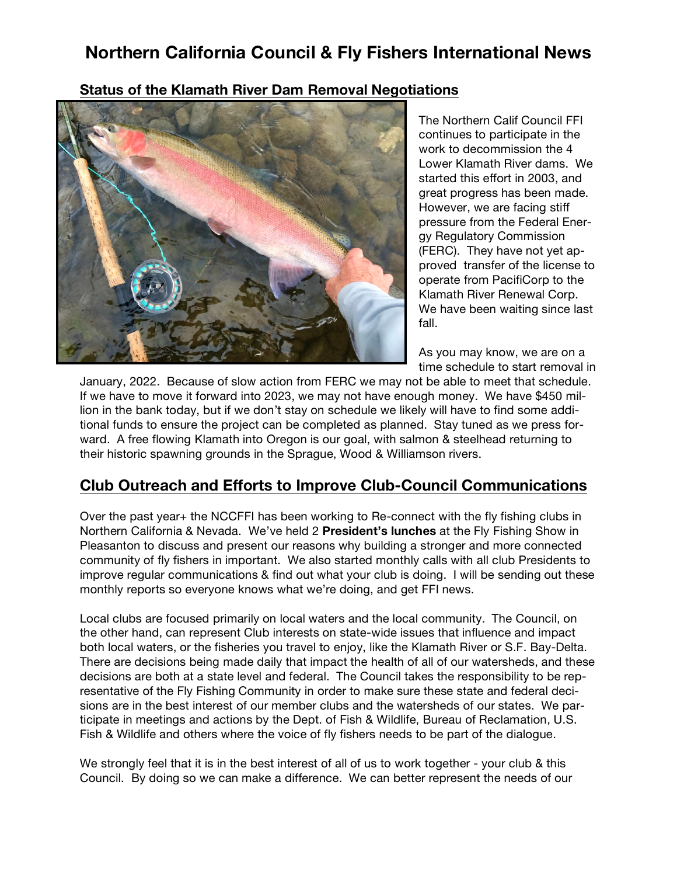### **Northern California Council & Fly Fishers International News**

#### **Status of the Klamath River Dam Removal Negotiations**



The Northern Calif Council FFI continues to participate in the work to decommission the 4 Lower Klamath River dams. We started this effort in 2003, and great progress has been made. However, we are facing stiff pressure from the Federal Energy Regulatory Commission (FERC). They have not yet approved transfer of the license to operate from PacifiCorp to the Klamath River Renewal Corp. We have been waiting since last fall.

As you may know, we are on a time schedule to start removal in

January, 2022. Because of slow action from FERC we may not be able to meet that schedule. If we have to move it forward into 2023, we may not have enough money. We have \$450 million in the bank today, but if we don't stay on schedule we likely will have to find some additional funds to ensure the project can be completed as planned. Stay tuned as we press forward. A free flowing Klamath into Oregon is our goal, with salmon & steelhead returning to their historic spawning grounds in the Sprague, Wood & Williamson rivers.

#### **Club Outreach and Efforts to Improve Club-Council Communications**

Over the past year+ the NCCFFI has been working to Re-connect with the fly fishing clubs in Northern California & Nevada. We've held 2 **President's lunches** at the Fly Fishing Show in Pleasanton to discuss and present our reasons why building a stronger and more connected community of fly fishers in important. We also started monthly calls with all club Presidents to improve regular communications & find out what your club is doing. I will be sending out these monthly reports so everyone knows what we're doing, and get FFI news.

Local clubs are focused primarily on local waters and the local community. The Council, on the other hand, can represent Club interests on state-wide issues that influence and impact both local waters, or the fisheries you travel to enjoy, like the Klamath River or S.F. Bay-Delta. There are decisions being made daily that impact the health of all of our watersheds, and these decisions are both at a state level and federal. The Council takes the responsibility to be representative of the Fly Fishing Community in order to make sure these state and federal decisions are in the best interest of our member clubs and the watersheds of our states. We participate in meetings and actions by the Dept. of Fish & Wildlife, Bureau of Reclamation, U.S. Fish & Wildlife and others where the voice of fly fishers needs to be part of the dialogue.

We strongly feel that it is in the best interest of all of us to work together - your club & this Council. By doing so we can make a difference. We can better represent the needs of our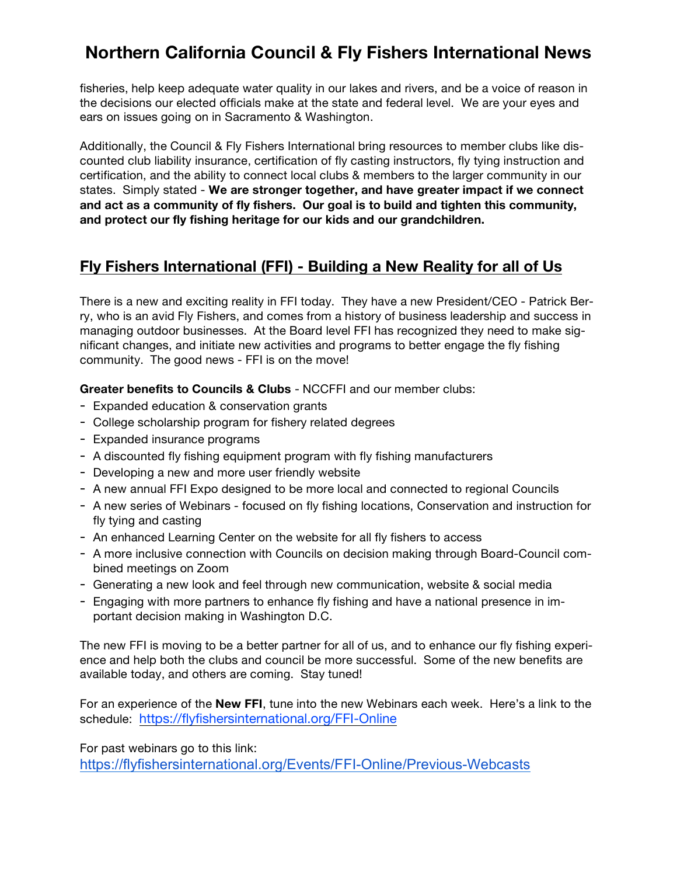# **Northern California Council & Fly Fishers International News**

fisheries, help keep adequate water quality in our lakes and rivers, and be a voice of reason in the decisions our elected officials make at the state and federal level. We are your eyes and ears on issues going on in Sacramento & Washington.

Additionally, the Council & Fly Fishers International bring resources to member clubs like discounted club liability insurance, certification of fly casting instructors, fly tying instruction and certification, and the ability to connect local clubs & members to the larger community in our states. Simply stated - **We are stronger together, and have greater impact if we connect and act as a community of fly fishers. Our goal is to build and tighten this community, and protect our fly fishing heritage for our kids and our grandchildren.** 

#### **Fly Fishers International (FFI) - Building a New Reality for all of Us**

There is a new and exciting reality in FFI today. They have a new President/CEO - Patrick Berry, who is an avid Fly Fishers, and comes from a history of business leadership and success in managing outdoor businesses. At the Board level FFI has recognized they need to make significant changes, and initiate new activities and programs to better engage the fly fishing community. The good news - FFI is on the move!

**Greater benefits to Councils & Clubs** - NCCFFI and our member clubs:

- Expanded education & conservation grants
- College scholarship program for fishery related degrees
- Expanded insurance programs
- A discounted fly fishing equipment program with fly fishing manufacturers
- Developing a new and more user friendly website
- A new annual FFI Expo designed to be more local and connected to regional Councils
- A new series of Webinars focused on fly fishing locations, Conservation and instruction for fly tying and casting
- An enhanced Learning Center on the website for all fly fishers to access
- A more inclusive connection with Councils on decision making through Board-Council combined meetings on Zoom
- Generating a new look and feel through new communication, website & social media
- Engaging with more partners to enhance fly fishing and have a national presence in important decision making in Washington D.C.

The new FFI is moving to be a better partner for all of us, and to enhance our fly fishing experience and help both the clubs and council be more successful. Some of the new benefits are available today, and others are coming. Stay tuned!

For an experience of the **New FFI**, tune into the new Webinars each week. Here's a link to the schedule: https://flyfishersinternational.org/FFI-Online

For past webinars go to this link:

https://flyfishersinternational.org/Events/FFI-Online/Previous-Webcasts